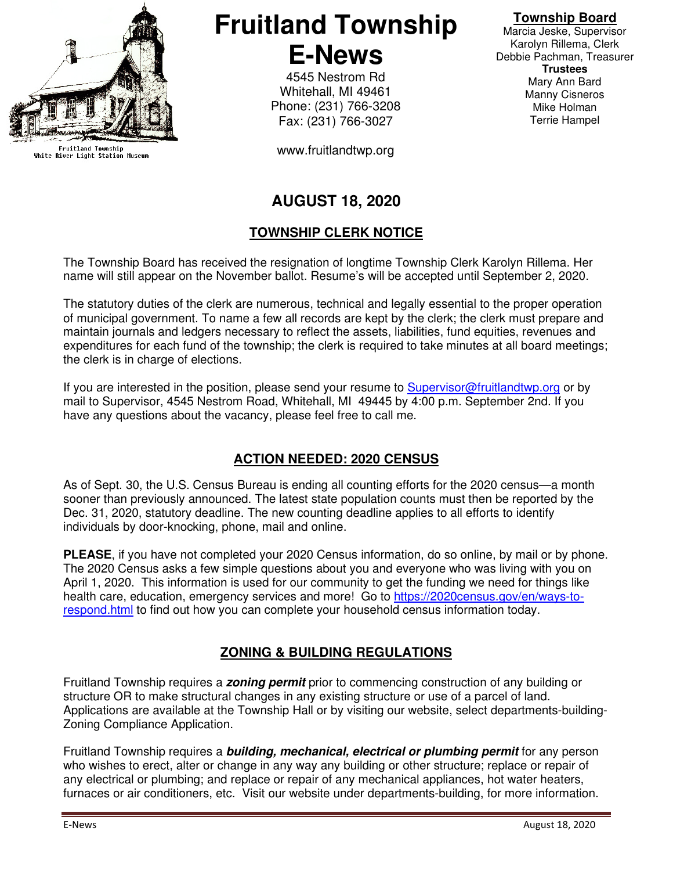

Fruitland Township<br>White River Light Station Museum

**Fruitland Township E-News** 

> 4545 Nestrom Rd Whitehall, MI 49461 Phone: (231) 766-3208 Fax: (231) 766-3027

www.fruitlandtwp.org

#### **Township Board**

Marcia Jeske, Supervisor Karolyn Rillema, Clerk Debbie Pachman, Treasurer **Trustees**  Mary Ann Bard Manny Cisneros Mike Holman Terrie Hampel

# **AUGUST 18, 2020**

### **TOWNSHIP CLERK NOTICE**

The Township Board has received the resignation of longtime Township Clerk Karolyn Rillema. Her name will still appear on the November ballot. Resume's will be accepted until September 2, 2020.

The statutory duties of the clerk are numerous, technical and legally essential to the proper operation of municipal government. To name a few all records are kept by the clerk; the clerk must prepare and maintain journals and ledgers necessary to reflect the assets, liabilities, fund equities, revenues and expenditures for each fund of the township; the clerk is required to take minutes at all board meetings; the clerk is in charge of elections.

If you are interested in the position, please send your resume to Supervisor@fruitlandtwp.org or by mail to Supervisor, 4545 Nestrom Road, Whitehall, MI 49445 by 4:00 p.m. September 2nd. If you have any questions about the vacancy, please feel free to call me.

## **ACTION NEEDED: 2020 CENSUS**

As of Sept. 30, the U.S. Census Bureau is ending all counting efforts for the 2020 census—a month sooner than previously announced. The latest state population counts must then be reported by the Dec. 31, 2020, statutory deadline. The new counting deadline applies to all efforts to identify individuals by door-knocking, phone, mail and online.

**PLEASE**, if you have not completed your 2020 Census information, do so online, by mail or by phone. The 2020 Census asks a few simple questions about you and everyone who was living with you on April 1, 2020. This information is used for our community to get the funding we need for things like health care, education, emergency services and more! Go to https://2020census.gov/en/ways-torespond.html to find out how you can complete your household census information today.

## **ZONING & BUILDING REGULATIONS**

Fruitland Township requires a **zoning permit** prior to commencing construction of any building or structure OR to make structural changes in any existing structure or use of a parcel of land. Applications are available at the Township Hall or by visiting our website, select departments-building-Zoning Compliance Application.

Fruitland Township requires a **building, mechanical, electrical or plumbing permit** for any person who wishes to erect, alter or change in any way any building or other structure; replace or repair of any electrical or plumbing; and replace or repair of any mechanical appliances, hot water heaters, furnaces or air conditioners, etc. Visit our website under departments-building, for more information.